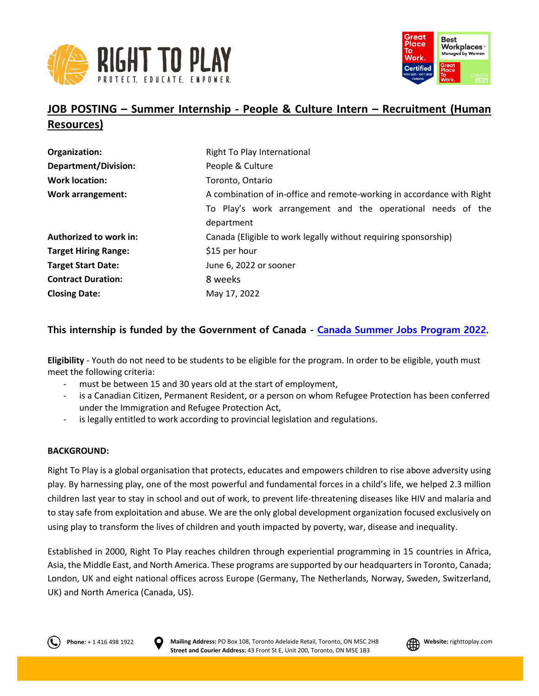



# **JOB POSTING – Summer Internship - People & Culture Intern – Recruitment (Human Resources)**

| Organization:               | Right To Play International                                            |
|-----------------------------|------------------------------------------------------------------------|
| <b>Department/Division:</b> | People & Culture                                                       |
| <b>Work location:</b>       | Toronto, Ontario                                                       |
| <b>Work arrangement:</b>    | A combination of in-office and remote-working in accordance with Right |
|                             | To Play's work arrangement and the operational needs of the            |
|                             | department                                                             |
| Authorized to work in:      | Canada (Eligible to work legally without requiring sponsorship)        |
| <b>Target Hiring Range:</b> | \$15 per hour                                                          |
| <b>Target Start Date:</b>   | June 6, 2022 or sooner                                                 |
| <b>Contract Duration:</b>   | 8 weeks                                                                |
| <b>Closing Date:</b>        | May 17, 2022                                                           |

# **This internship is funded by the Government of Canada - [Canada Summer Jobs Program 2022.](https://www.jobbank.gc.ca/youth)**

**Eligibility** - Youth do not need to be students to be eligible for the program. In order to be eligible, youth must meet the following criteria:

- must be between 15 and 30 years old at the start of employment,
- is a Canadian Citizen, Permanent Resident, or a person on whom Refugee Protection has been conferred under the Immigration and Refugee Protection Act,
- is legally entitled to work according to provincial legislation and regulations.

# **BACKGROUND:**

Right To Play is a global organisation that protects, educates and empowers children to rise above adversity using play. By harnessing play, one of the most powerful and fundamental forces in a child's life, we helped 2.3 million children last year to stay in school and out of work, to prevent life-threatening diseases like HIV and malaria and to stay safe from exploitation and abuse. We are the only global development organization focused exclusively on using play to transform the lives of children and youth impacted by poverty, war, disease and inequality.

Established in 2000, Right To Play reaches children through experiential programming in 15 countries in Africa, Asia, the Middle East, and North America. These programs are supported by our headquarters in Toronto, Canada; London, UK and eight national offices across Europe (Germany, The Netherlands, Norway, Sweden, Switzerland, UK) and North America (Canada, US).



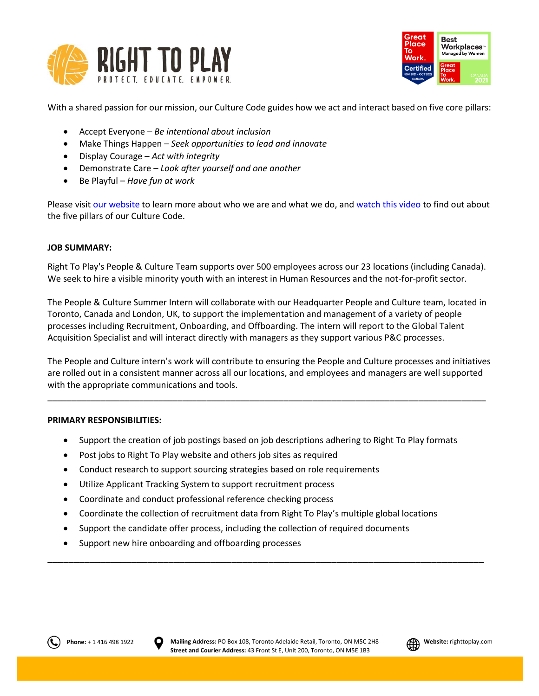



With a shared passion for our mission, our Culture Code guides how we act and interact based on five core pillars:

- Accept Everyone *Be intentional about inclusion*
- Make Things Happen *Seek opportunities to lead and innovate*
- Display Courage *Act with integrity*
- Demonstrate Care *Look after yourself and one another*
- Be Playful *Have fun at work*

Please visit [our website](http://www.righttoplay.ca/) to learn more about who we are and what we do, and [watch this video](https://www.righttoplay.com/en/landing/our-culture-code/) to find out about the five pillars of our Culture Code.

# **JOB SUMMARY:**

Right To Play's People & Culture Team supports over 500 employees across our 23 locations (including Canada). We seek to hire a visible minority youth with an interest in Human Resources and the not-for-profit sector.

The People & Culture Summer Intern will collaborate with our Headquarter People and Culture team, located in Toronto, Canada and London, UK, to support the implementation and management of a variety of people processes including Recruitment, Onboarding, and Offboarding. The intern will report to the Global Talent Acquisition Specialist and will interact directly with managers as they support various P&C processes.

The People and Culture intern's work will contribute to ensuring the People and Culture processes and initiatives are rolled out in a consistent manner across all our locations, and employees and managers are well supported with the appropriate communications and tools.

\_\_\_\_\_\_\_\_\_\_\_\_\_\_\_\_\_\_\_\_\_\_\_\_\_\_\_\_\_\_\_\_\_\_\_\_\_\_\_\_\_\_\_\_\_\_\_\_\_\_\_\_\_\_\_\_\_\_\_\_\_\_\_\_\_\_\_\_\_\_\_\_\_\_\_\_\_\_\_\_\_\_\_\_\_\_\_\_\_\_\_

# **PRIMARY RESPONSIBILITIES:**

- Support the creation of job postings based on job descriptions adhering to Right To Play formats
- Post jobs to Right To Play website and others job sites as required
- Conduct research to support sourcing strategies based on role requirements
- Utilize Applicant Tracking System to support recruitment process
- Coordinate and conduct professional reference checking process
- Coordinate the collection of recruitment data from Right To Play's multiple global locations

\_\_\_\_\_\_\_\_\_\_\_\_\_\_\_\_\_\_\_\_\_\_\_\_\_\_\_\_\_\_\_\_\_\_\_\_\_\_\_\_\_\_\_\_\_\_\_\_\_\_\_\_\_\_\_\_\_\_\_\_\_\_\_\_\_\_\_\_\_\_\_\_\_\_\_\_\_\_\_\_\_\_\_

- Support the candidate offer process, including the collection of required documents
- Support new hire onboarding and offboarding processes



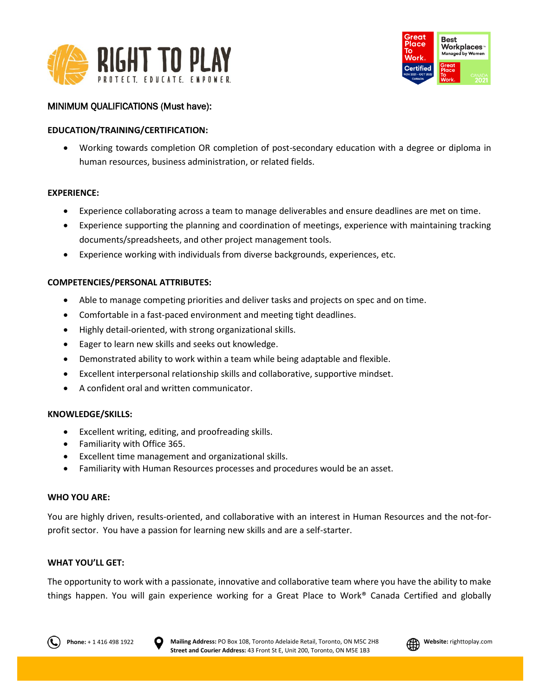



# MINIMUM QUALIFICATIONS (Must have):

# **EDUCATION/TRAINING/CERTIFICATION:**

 Working towards completion OR completion of post-secondary education with a degree or diploma in human resources, business administration, or related fields.

#### **EXPERIENCE:**

- Experience collaborating across a team to manage deliverables and ensure deadlines are met on time.
- Experience supporting the planning and coordination of meetings, experience with maintaining tracking documents/spreadsheets, and other project management tools.
- Experience working with individuals from diverse backgrounds, experiences, etc.

#### **COMPETENCIES/PERSONAL ATTRIBUTES:**

- Able to manage competing priorities and deliver tasks and projects on spec and on time.
- Comfortable in a fast-paced environment and meeting tight deadlines.
- Highly detail-oriented, with strong organizational skills.
- Eager to learn new skills and seeks out knowledge.
- Demonstrated ability to work within a team while being adaptable and flexible.
- Excellent interpersonal relationship skills and collaborative, supportive mindset.
- A confident oral and written communicator.

#### **KNOWLEDGE/SKILLS:**

- Excellent writing, editing, and proofreading skills.
- Familiarity with Office 365.
- Excellent time management and organizational skills.
- Familiarity with Human Resources processes and procedures would be an asset.

#### **WHO YOU ARE:**

You are highly driven, results-oriented, and collaborative with an interest in Human Resources and the not-forprofit sector. You have a passion for learning new skills and are a self-starter.

#### **WHAT YOU'LL GET:**

The opportunity to work with a passionate, innovative and collaborative team where you have the ability to make things happen. You will gain experience working for a Great Place to Work® Canada Certified and globally